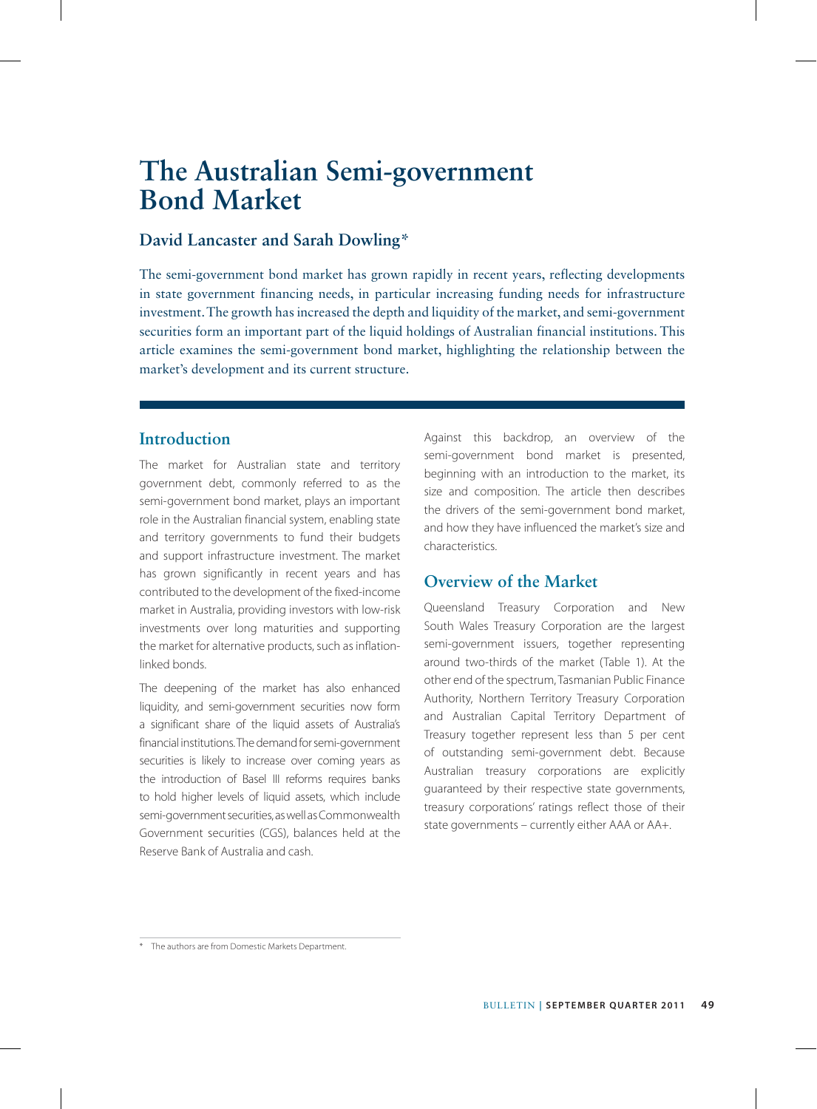# **The Australian Semi-government Bond Market**

## **David Lancaster and Sarah Dowling\***

The semi-government bond market has grown rapidly in recent years, reflecting developments in state government financing needs, in particular increasing funding needs for infrastructure investment. The growth has increased the depth and liquidity of the market, and semi-government securities form an important part of the liquid holdings of Australian financial institutions. This article examines the semi-government bond market, highlighting the relationship between the market's development and its current structure.

# **Introduction**

The market for Australian state and territory government debt, commonly referred to as the semi-government bond market, plays an important role in the Australian financial system, enabling state and territory governments to fund their budgets and support infrastructure investment. The market has grown significantly in recent years and has contributed to the development of the fixed-income market in Australia, providing investors with low-risk investments over long maturities and supporting the market for alternative products, such as inflationlinked bonds.

The deepening of the market has also enhanced liquidity, and semi-government securities now form a significant share of the liquid assets of Australia's financial institutions. The demand for semi-government securities is likely to increase over coming years as the introduction of Basel III reforms requires banks to hold higher levels of liquid assets, which include semi-government securities, as well as Commonwealth Government securities (CGS), balances held at the Reserve Bank of Australia and cash.

Against this backdrop, an overview of the semi-government bond market is presented, beginning with an introduction to the market, its size and composition. The article then describes the drivers of the semi-government bond market, and how they have influenced the market's size and characteristics.

# **Overview of the Market**

Queensland Treasury Corporation and New South Wales Treasury Corporation are the largest semi-government issuers, together representing around two-thirds of the market (Table 1). At the other end of the spectrum, Tasmanian Public Finance Authority, Northern Territory Treasury Corporation and Australian Capital Territory Department of Treasury together represent less than 5 per cent of outstanding semi-government debt. Because Australian treasury corporations are explicitly guaranteed by their respective state governments, treasury corporations' ratings reflect those of their state governments – currently either AAA or AA+.

<sup>\*</sup> The authors are from Domestic Markets Department.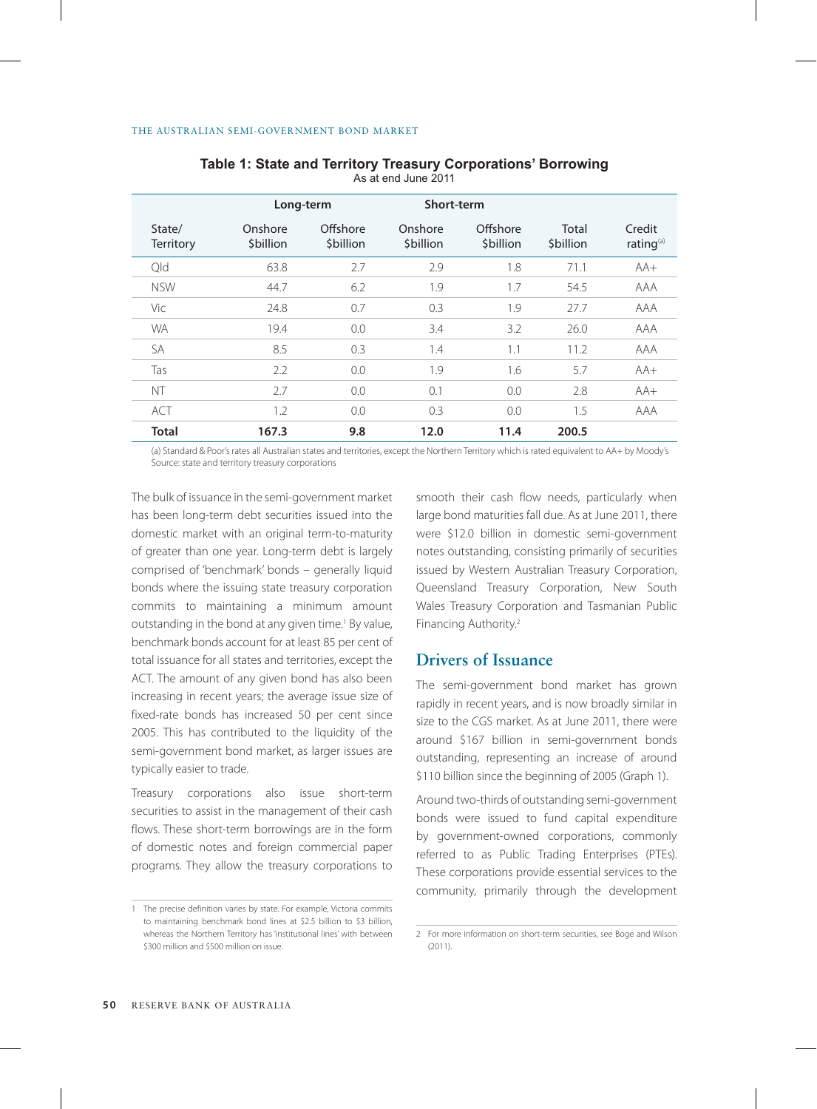|                            | Long-term            |                             | Short-term           |                       |                    |                                 |
|----------------------------|----------------------|-----------------------------|----------------------|-----------------------|--------------------|---------------------------------|
| State/<br><b>Territory</b> | Onshore<br>\$billion | Offshore<br><b>Sbillion</b> | Onshore<br>\$billion | Offshore<br>\$billion | Total<br>\$billion | Credit<br>rating <sup>(a)</sup> |
| Old                        | 63.8                 | 2.7                         | 2.9                  | 1.8                   | 71.1               | $AA+$                           |
| <b>NSW</b>                 | 44.7                 | 6.2                         | 1.9                  | 1.7                   | 54.5               | AAA                             |
| Vic                        | 24.8                 | 0.7                         | 0.3                  | 1.9                   | 27.7               | AAA                             |
| <b>WA</b>                  | 19.4                 | 0.0                         | 3.4                  | 3.2                   | 26.0               | AAA                             |
| <b>SA</b>                  | 8.5                  | 0.3                         | 1.4                  | 1.1                   | 11.2               | AAA                             |
| Tas                        | 2.2                  | 0.0                         | 1.9                  | 1.6                   | 5.7                | $AA+$                           |
| NT                         | 2.7                  | 0.0                         | 0.1                  | 0.0                   | 2.8                | $AA+$                           |
| <b>ACT</b>                 | 1.2                  | 0.0                         | 0.3                  | 0.0                   | 1.5                | AAA                             |
| <b>Total</b>               | 167.3                | 9.8                         | 12.0                 | 11.4                  | 200.5              |                                 |

**Table 1: State and Territory Treasury Corporations' Borrowing** As at end June 2011

(a) Standard & Poor's rates all Australian states and territories, except the Northern Territory which is rated equivalent to AA+ by Moody's Source: state and territory treasury corporations

The bulk of issuance in the semi-government market has been long-term debt securities issued into the domestic market with an original term-to-maturity of greater than one year. Long-term debt is largely comprised of 'benchmark' bonds – generally liquid bonds where the issuing state treasury corporation commits to maintaining a minimum amount outstanding in the bond at any given time.<sup>1</sup> By value, benchmark bonds account for at least 85 per cent of total issuance for all states and territories, except the ACT. The amount of any given bond has also been increasing in recent years; the average issue size of fixed-rate bonds has increased 50 per cent since 2005. This has contributed to the liquidity of the semi-government bond market, as larger issues are typically easier to trade.

Treasury corporations also issue short-term securities to assist in the management of their cash flows. These short-term borrowings are in the form of domestic notes and foreign commercial paper programs. They allow the treasury corporations to smooth their cash flow needs, particularly when large bond maturities fall due. As at June 2011, there were \$12.0 billion in domestic semi-government notes outstanding, consisting primarily of securities issued by Western Australian Treasury Corporation, Queensland Treasury Corporation, New South Wales Treasury Corporation and Tasmanian Public Financing Authority.2

## **Drivers of Issuance**

The semi-government bond market has grown rapidly in recent years, and is now broadly similar in size to the CGS market. As at June 2011, there were around \$167 billion in semi-government bonds outstanding, representing an increase of around \$110 billion since the beginning of 2005 (Graph 1).

Around two-thirds of outstanding semi-government bonds were issued to fund capital expenditure by government-owned corporations, commonly referred to as Public Trading Enterprises (PTEs). These corporations provide essential services to the community, primarily through the development

<sup>1</sup> The precise definition varies by state. For example, Victoria commits to maintaining benchmark bond lines at \$2.5 billion to \$3 billion, whereas the Northern Territory has 'institutional lines' with between \$300 million and \$500 million on issue.

<sup>2</sup> For more information on short-term securities, see Boge and Wilson (2011).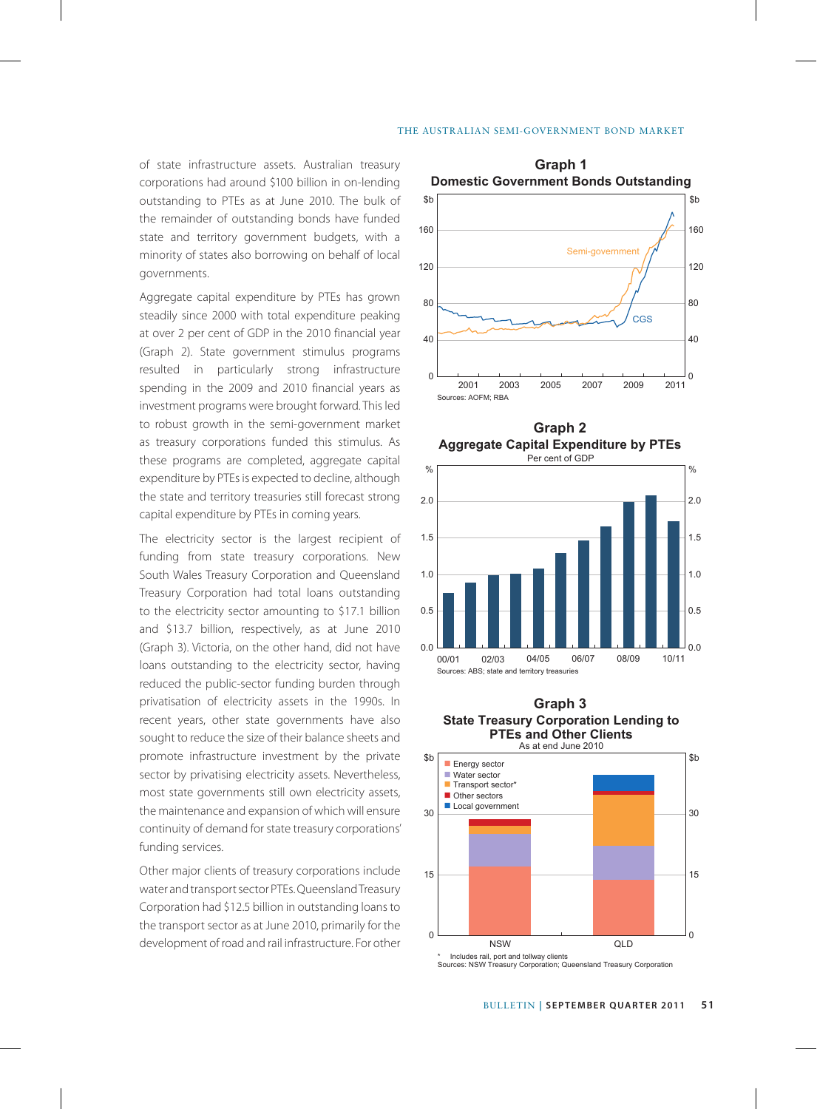#### The Australian Semi-Government Bond Market

of state infrastructure assets. Australian treasury **Graph 1** corporations had around \$100 billion in on-lending outstanding to PTEs as at June 2010. The bulk of the remainder of outstanding bonds have funded state and territory government budgets, with a minority of states also borrowing on behalf of local governments.

Aggregate capital expenditure by PTEs has grown steadily since 2000 with total expenditure peaking at over 2 per cent of GDP in the 2010 financial year (Graph 2). State government stimulus programs resulted in particularly strong infrastructure spending in the 2009 and 2010 financial years as investment programs were brought forward. This led to robust growth in the semi-government market as treasury corporations funded this stimulus. As these programs are completed, aggregate capital expenditure by PTEs is expected to decline, although the state and territory treasuries still forecast strong capital expenditure by PTEs in coming years.

The electricity sector is the largest recipient of funding from state treasury corporations. New South Wales Treasury Corporation and Queensland Treasury Corporation had total loans outstanding to the electricity sector amounting to \$17.1 billion and \$13.7 billion, respectively, as at June 2010 (Graph 3). Victoria, on the other hand, did not have loans outstanding to the electricity sector, having reduced the public-sector funding burden through privatisation of electricity assets in the 1990s. In recent years, other state governments have also sought to reduce the size of their balance sheets and promote infrastructure investment by the private sector by privatising electricity assets. Nevertheless, most state governments still own electricity assets, the maintenance and expansion of which will ensure continuity of demand for state treasury corporations' funding services.

Other major clients of treasury corporations include water and transport sector PTEs. Queensland Treasury Corporation had \$12.5 billion in outstanding loans to the transport sector as at June 2010, primarily for the development of road and rail infrastructure. For other



**Aggregate Capital Expenditure by PTEs Graph 2**



#### **State Treasury Corporation Lending to PTEs and Other Clients** As at end June 2010 **Graph 3**



Sources: NSW Treasury Corporation; Queensland Treasury Corporation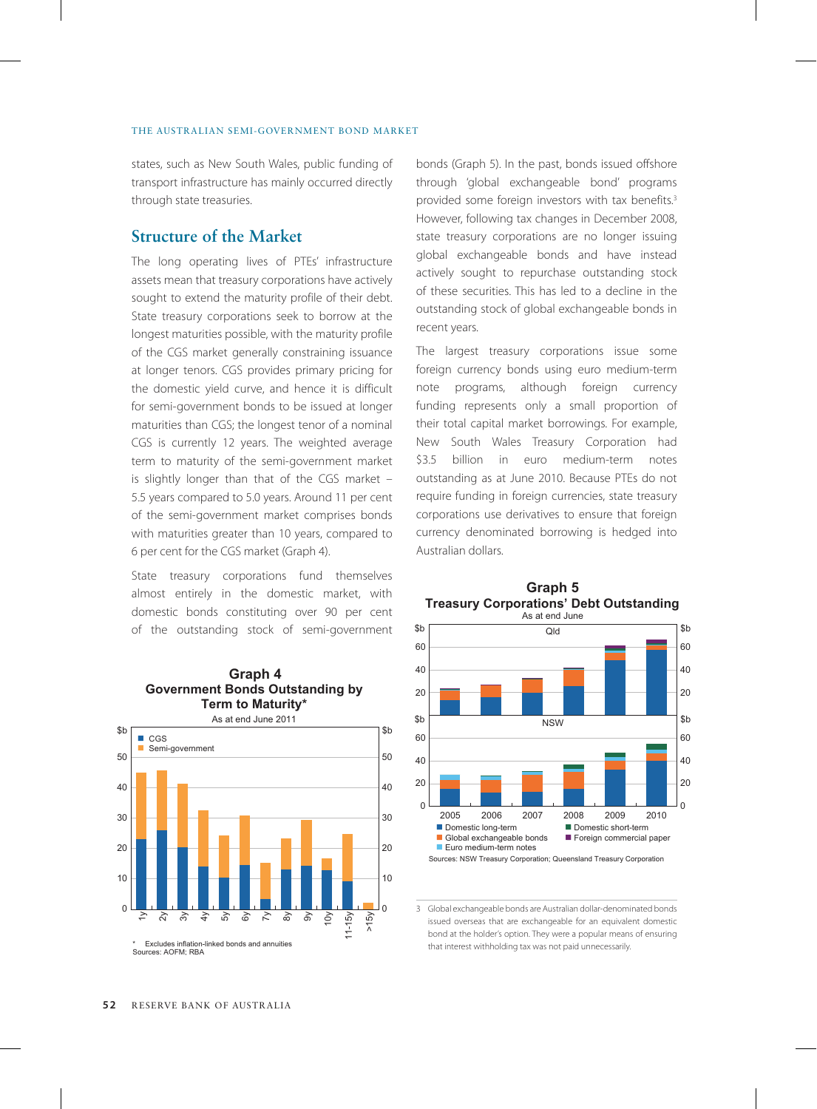states, such as New South Wales, public funding of transport infrastructure has mainly occurred directly through state treasuries.

## **Structure of the Market**

The long operating lives of PTEs' infrastructure assets mean that treasury corporations have actively sought to extend the maturity profile of their debt. State treasury corporations seek to borrow at the longest maturities possible, with the maturity profile of the CGS market generally constraining issuance at longer tenors. CGS provides primary pricing for the domestic yield curve, and hence it is difficult for semi-government bonds to be issued at longer maturities than CGS; the longest tenor of a nominal CGS is currently 12 years. The weighted average term to maturity of the semi-government market is slightly longer than that of the CGS market – 5.5 years compared to 5.0 years. Around 11 per cent of the semi-government market comprises bonds with maturities greater than 10 years, compared to 6 per cent for the CGS market (Graph 4).

State treasury corporations fund themselves almost entirely in the domestic market, with domestic bonds constituting over 90 per cent of the outstanding stock of semi-government



bonds (Graph 5). In the past, bonds issued offshore through 'global exchangeable bond' programs provided some foreign investors with tax benefits.<sup>3</sup> However, following tax changes in December 2008, state treasury corporations are no longer issuing global exchangeable bonds and have instead actively sought to repurchase outstanding stock of these securities. This has led to a decline in the outstanding stock of global exchangeable bonds in recent years.

The largest treasury corporations issue some foreign currency bonds using euro medium-term note programs, although foreign currency funding represents only a small proportion of their total capital market borrowings. For example, New South Wales Treasury Corporation had \$3.5 billion in euro medium-term notes outstanding as at June 2010. Because PTEs do not require funding in foreign currencies, state treasury corporations use derivatives to ensure that foreign currency denominated borrowing is hedged into Australian dollars.



3 Global exchangeable bonds are Australian dollar-denominated bonds issued overseas that are exchangeable for an equivalent domestic bond at the holder's option. They were a popular means of ensuring that interest withholding tax was not paid unnecessarily.

## **Treasury Corporations' Debt Outstanding Graph 5**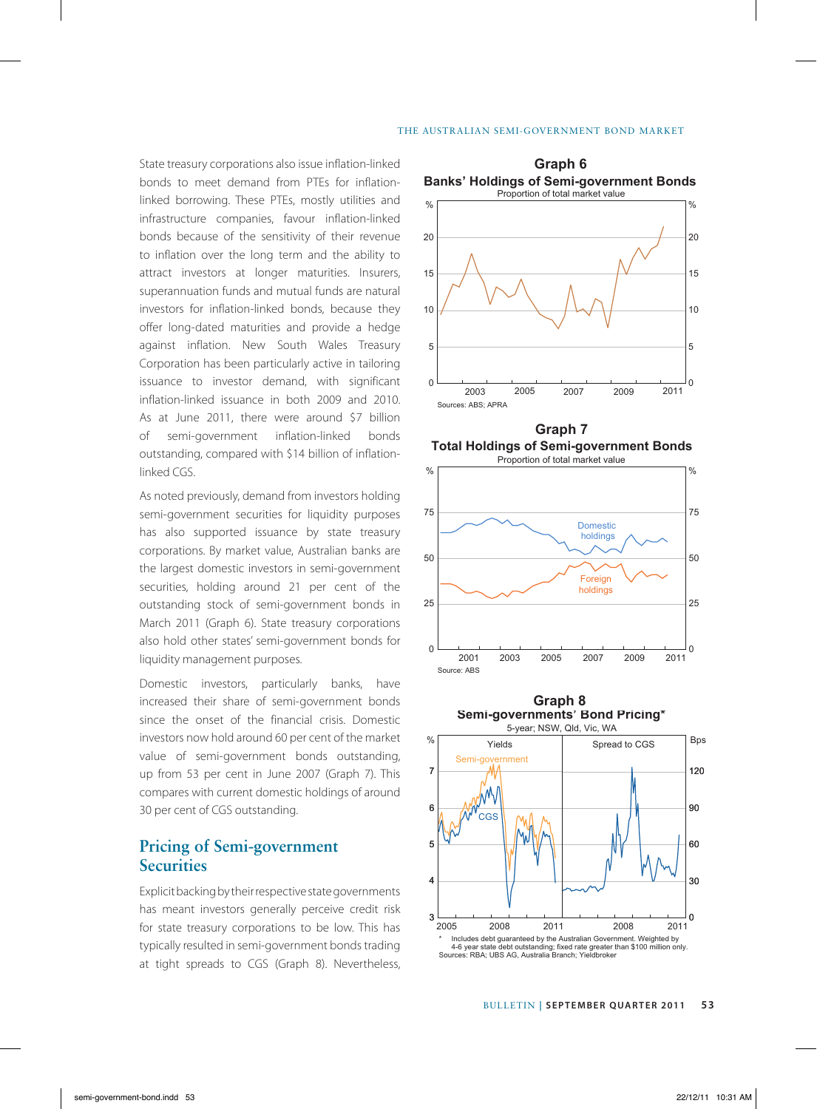State treasury corporations also issue inflation-linked **Graph 6** bonds to meet demand from PTEs for inflationlinked borrowing. These PTEs, mostly utilities and infrastructure companies, favour inflation-linked bonds because of the sensitivity of their revenue to inflation over the long term and the ability to attract investors at longer maturities. Insurers, superannuation funds and mutual funds are natural investors for inflation-linked bonds, because they offer long-dated maturities and provide a hedge against inflation. New South Wales Treasury Corporation has been particularly active in tailoring issuance to investor demand, with significant inflation-linked issuance in both 2009 and 2010. As at June 2011, there were around \$7 billion of semi-government inflation-linked bonds outstanding, compared with \$14 billion of inflationlinked CGS.

As noted previously, demand from investors holding semi-government securities for liquidity purposes has also supported issuance by state treasury corporations. By market value, Australian banks are the largest domestic investors in semi-government securities, holding around 21 per cent of the outstanding stock of semi-government bonds in March 2011 (Graph 6). State treasury corporations also hold other states' semi-government bonds for liquidity management purposes.

Domestic investors, particularly banks, have increased their share of semi-government bonds since the onset of the financial crisis. Domestic investors now hold around 60 per cent of the market value of semi-government bonds outstanding, up from 53 per cent in June 2007 (Graph 7). This compares with current domestic holdings of around 30 per cent of CGS outstanding.

# **Pricing of Semi-government Securities**

Explicit backing by their respective state governments has meant investors generally perceive credit risk for state treasury corporations to be low. This has typically resulted in semi-government bonds trading at tight spreads to CGS (Graph 8). Nevertheless,



**Total Holdings of Semi-government Bonds Graph 7**